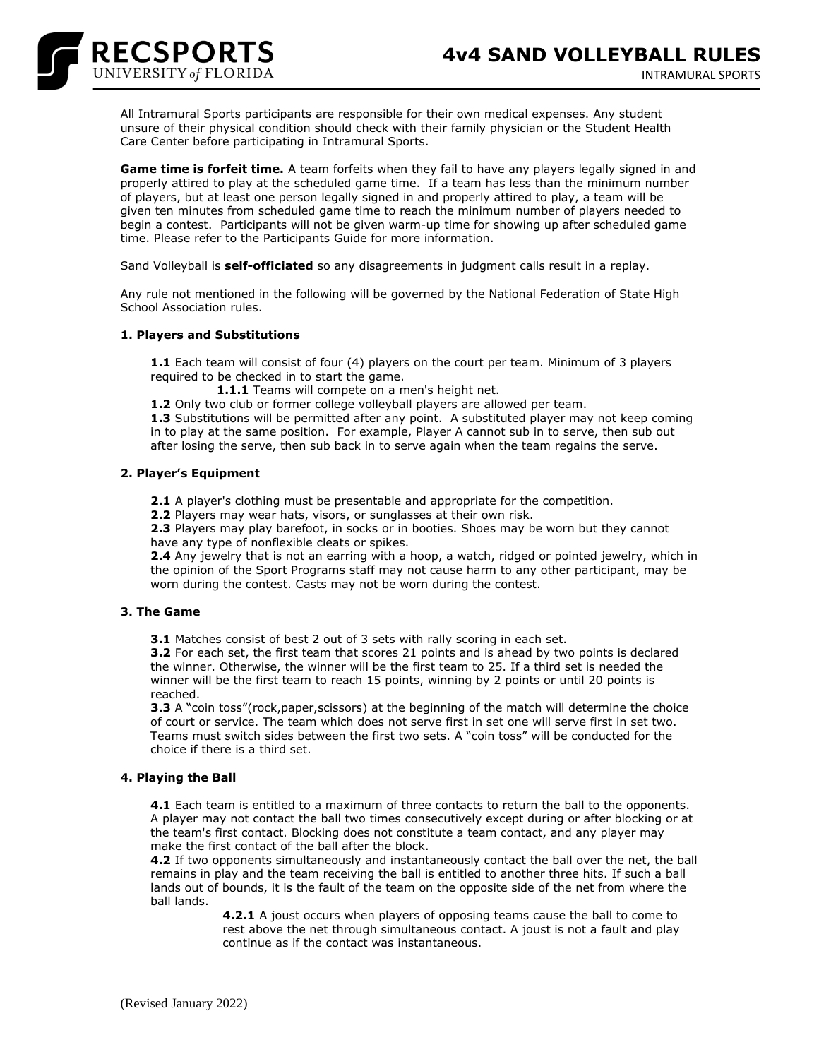

All Intramural Sports participants are responsible for their own medical expenses. Any student unsure of their physical condition should check with their family physician or the Student Health Care Center before participating in Intramural Sports.

**Game time is forfeit time.** A team forfeits when they fail to have any players legally signed in and properly attired to play at the scheduled game time. If a team has less than the minimum number of players, but at least one person legally signed in and properly attired to play, a team will be given ten minutes from scheduled game time to reach the minimum number of players needed to begin a contest. Participants will not be given warm-up time for showing up after scheduled game time. Please refer to the Participants Guide for more information.

Sand Volleyball is **self-officiated** so any disagreements in judgment calls result in a replay.

Any rule not mentioned in the following will be governed by the National Federation of State High School Association rules.

# **1. Players and Substitutions**

**1.1** Each team will consist of four (4) players on the court per team. Minimum of 3 players required to be checked in to start the game.

**1.1.1** Teams will compete on a men's height net.

**1.2** Only two club or former college volleyball players are allowed per team.

**1.3** Substitutions will be permitted after any point. A substituted player may not keep coming in to play at the same position. For example, Player A cannot sub in to serve, then sub out after losing the serve, then sub back in to serve again when the team regains the serve.

# **2. Player's Equipment**

**2.1** A player's clothing must be presentable and appropriate for the competition.

**2.2** Players may wear hats, visors, or sunglasses at their own risk.

**2.3** Players may play barefoot, in socks or in booties. Shoes may be worn but they cannot have any type of nonflexible cleats or spikes.

**2.4** Any jewelry that is not an earring with a hoop, a watch, ridged or pointed jewelry, which in the opinion of the Sport Programs staff may not cause harm to any other participant, may be worn during the contest. Casts may not be worn during the contest.

### **3. The Game**

**3.1** Matches consist of best 2 out of 3 sets with rally scoring in each set.

**3.2** For each set, the first team that scores 21 points and is ahead by two points is declared the winner. Otherwise, the winner will be the first team to 25. If a third set is needed the winner will be the first team to reach 15 points, winning by 2 points or until 20 points is reached.

**3.3** A "coin toss"(rock,paper,scissors) at the beginning of the match will determine the choice of court or service. The team which does not serve first in set one will serve first in set two. Teams must switch sides between the first two sets. A "coin toss" will be conducted for the choice if there is a third set.

### **4. Playing the Ball**

**4.1** Each team is entitled to a maximum of three contacts to return the ball to the opponents. A player may not contact the ball two times consecutively except during or after blocking or at the team's first contact. Blocking does not constitute a team contact, and any player may make the first contact of the ball after the block.

**4.2** If two opponents simultaneously and instantaneously contact the ball over the net, the ball remains in play and the team receiving the ball is entitled to another three hits. If such a ball lands out of bounds, it is the fault of the team on the opposite side of the net from where the ball lands.

> **4.2.1** A joust occurs when players of opposing teams cause the ball to come to rest above the net through simultaneous contact. A joust is not a fault and play continue as if the contact was instantaneous.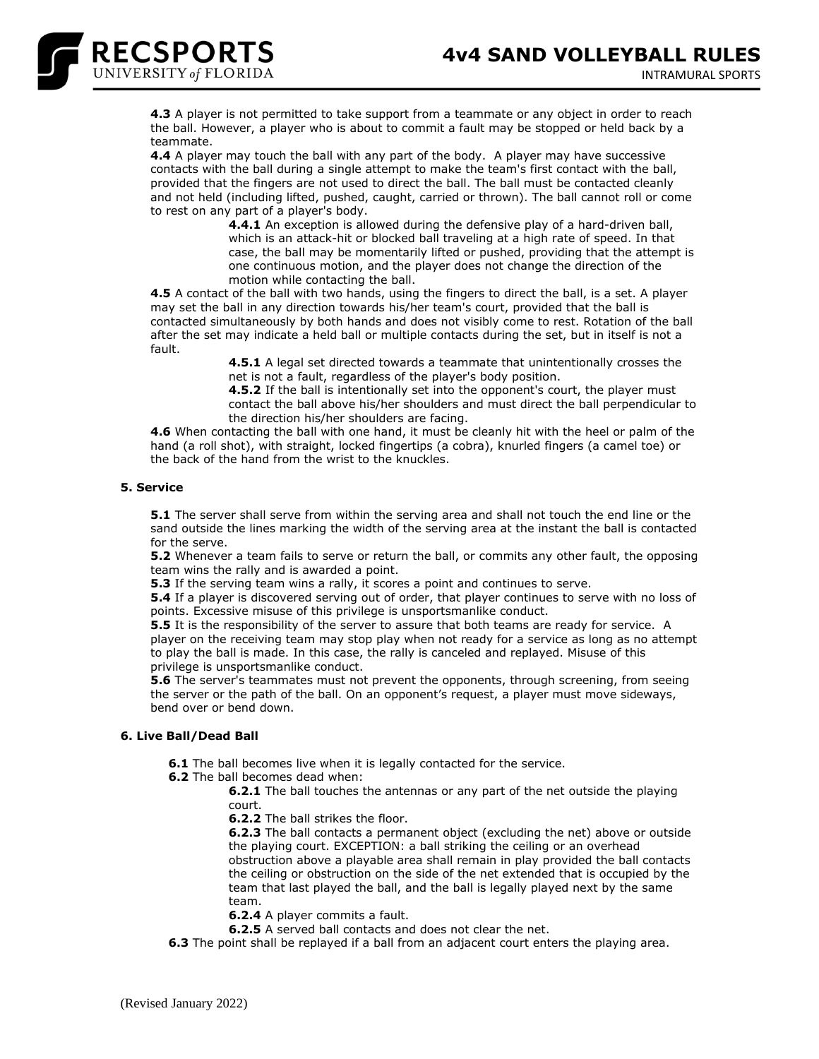

**4.3** A player is not permitted to take support from a teammate or any object in order to reach the ball. However, a player who is about to commit a fault may be stopped or held back by a teammate.

**4.4** A player may touch the ball with any part of the body. A player may have successive contacts with the ball during a single attempt to make the team's first contact with the ball, provided that the fingers are not used to direct the ball. The ball must be contacted cleanly and not held (including lifted, pushed, caught, carried or thrown). The ball cannot roll or come to rest on any part of a player's body.

> **4.4.1** An exception is allowed during the defensive play of a hard-driven ball, which is an attack-hit or blocked ball traveling at a high rate of speed. In that case, the ball may be momentarily lifted or pushed, providing that the attempt is one continuous motion, and the player does not change the direction of the motion while contacting the ball.

**4.5** A contact of the ball with two hands, using the fingers to direct the ball, is a set. A player may set the ball in any direction towards his/her team's court, provided that the ball is contacted simultaneously by both hands and does not visibly come to rest. Rotation of the ball after the set may indicate a held ball or multiple contacts during the set, but in itself is not a fault.

> **4.5.1** A legal set directed towards a teammate that unintentionally crosses the net is not a fault, regardless of the player's body position.

**4.5.2** If the ball is intentionally set into the opponent's court, the player must contact the ball above his/her shoulders and must direct the ball perpendicular to the direction his/her shoulders are facing.

**4.6** When contacting the ball with one hand, it must be cleanly hit with the heel or palm of the hand (a roll shot), with straight, locked fingertips (a cobra), knurled fingers (a camel toe) or the back of the hand from the wrist to the knuckles.

### **5. Service**

**5.1** The server shall serve from within the serving area and shall not touch the end line or the sand outside the lines marking the width of the serving area at the instant the ball is contacted for the serve.

**5.2** Whenever a team fails to serve or return the ball, or commits any other fault, the opposing team wins the rally and is awarded a point.

**5.3** If the serving team wins a rally, it scores a point and continues to serve.

**5.4** If a player is discovered serving out of order, that player continues to serve with no loss of points. Excessive misuse of this privilege is unsportsmanlike conduct.

**5.5** It is the responsibility of the server to assure that both teams are ready for service. A player on the receiving team may stop play when not ready for a service as long as no attempt to play the ball is made. In this case, the rally is canceled and replayed. Misuse of this privilege is unsportsmanlike conduct.

**5.6** The server's teammates must not prevent the opponents, through screening, from seeing the server or the path of the ball. On an opponent's request, a player must move sideways, bend over or bend down.

# **6. Live Ball/Dead Ball**

**6.1** The ball becomes live when it is legally contacted for the service.

**6.2** The ball becomes dead when:

**6.2.1** The ball touches the antennas or any part of the net outside the playing court.

**6.2.2** The ball strikes the floor.

**6.2.3** The ball contacts a permanent object (excluding the net) above or outside the playing court. EXCEPTION: a ball striking the ceiling or an overhead obstruction above a playable area shall remain in play provided the ball contacts the ceiling or obstruction on the side of the net extended that is occupied by the team that last played the ball, and the ball is legally played next by the same team.

**6.2.4** A player commits a fault.

**6.2.5** A served ball contacts and does not clear the net.

**6.3** The point shall be replayed if a ball from an adjacent court enters the playing area.